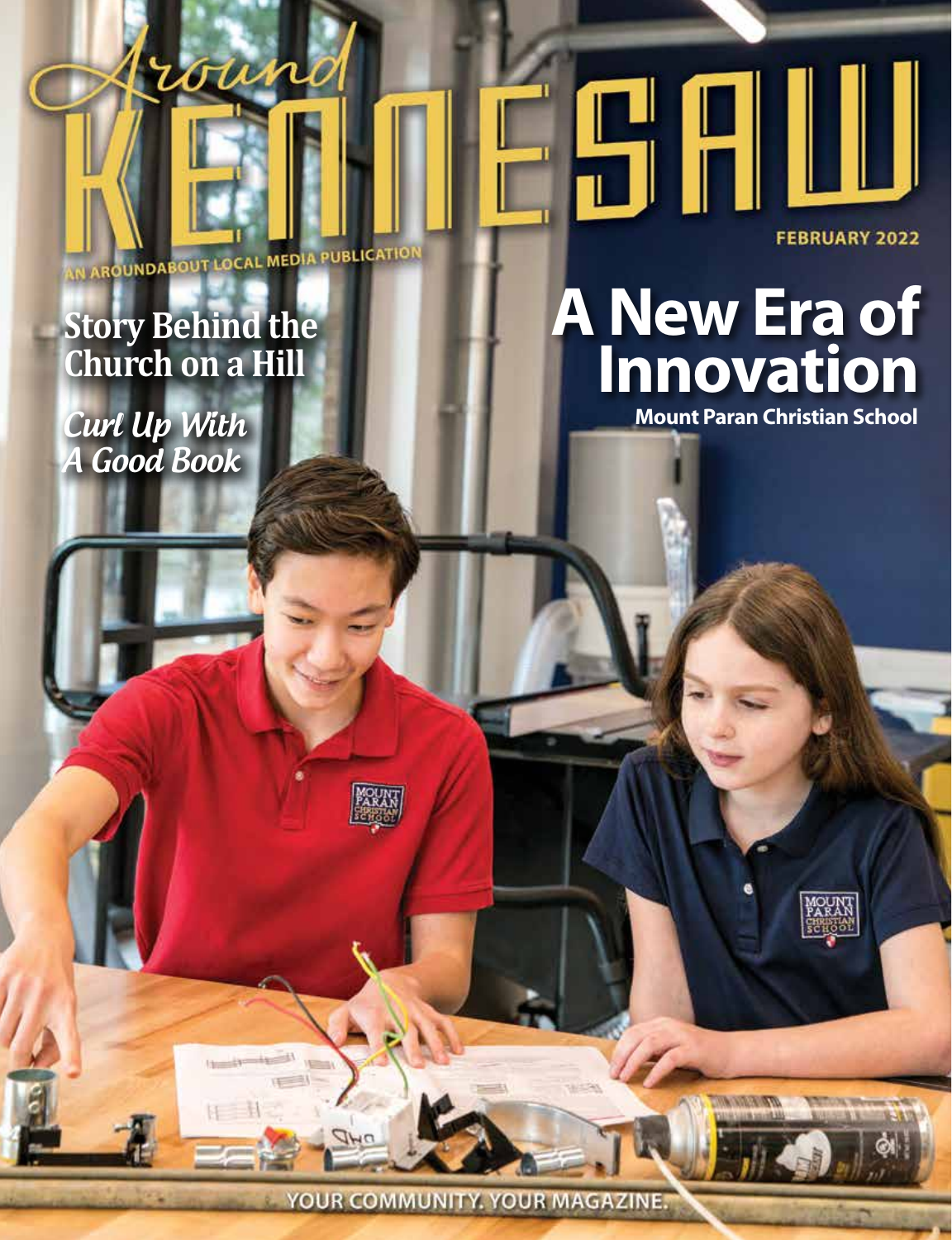IN AROUNDABOUT LOCAL MEDIA PUBLICATION

roune

# **Story Behind the Church on a Hill**

**Curl Up With** A Good Book

# **[A New Era of](http://www.mtparanschool.com)  Innovation**

MOUN

**FEBRUARY 2022** 

YOUR COMMUNITY, YOUR MAGAZINE.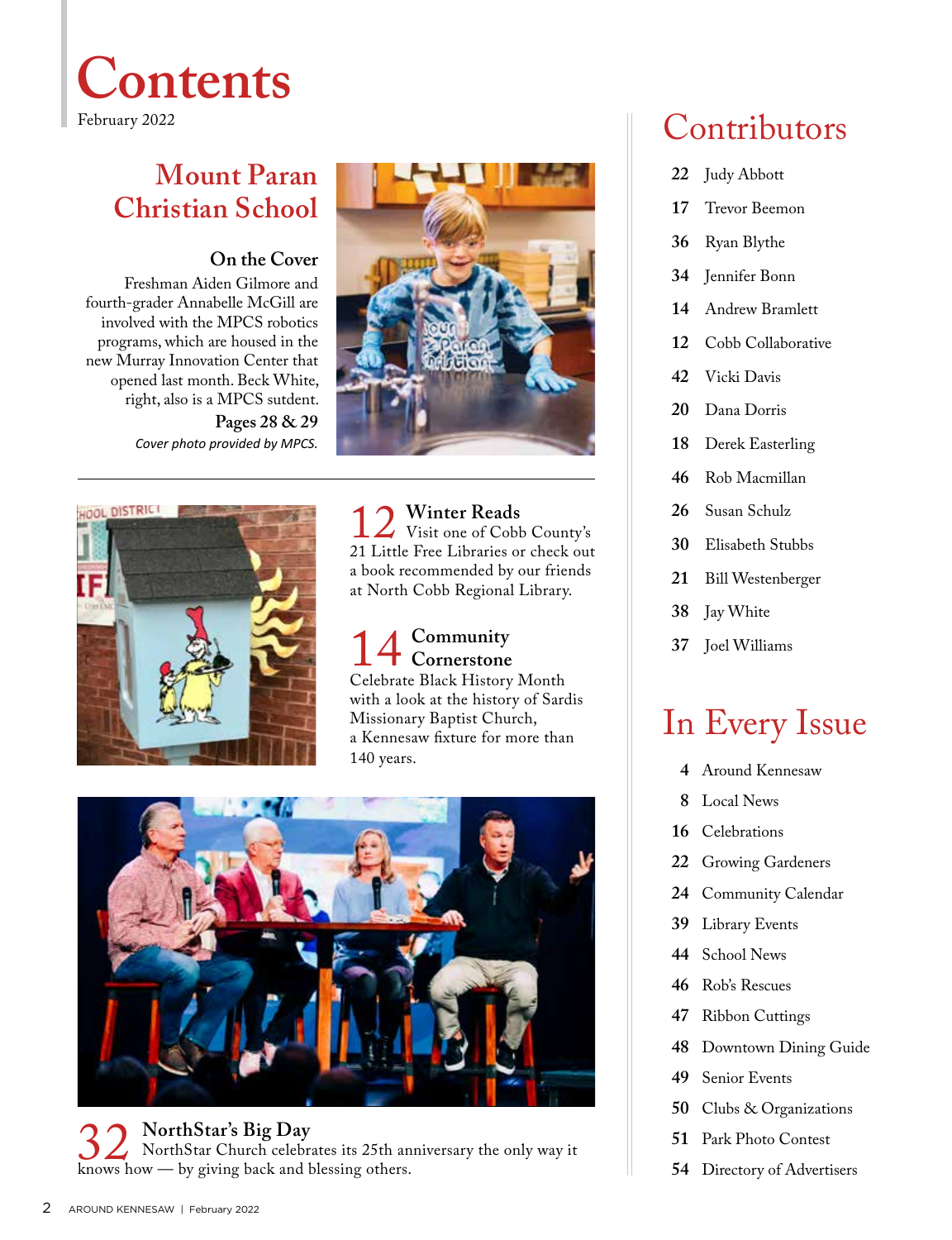

# **Mount Paran Christian School**

### **On the Cover**

Freshman Aiden Gilmore and fourth-grader Annabelle McGill are involved with the MPCS robotics programs, which are housed in the new Murray Innovation Center that opened last month. Beck White, right, also is a MPCS sutdent. **Pages 28 & 29** *Cover photo provided by MPCS.* 





12 **Winter Reads** 21 Little Free Libraries or check out Visit one of Cobb County's a book recommended by our friends at North Cobb Regional Library.

#### 14 **Community** Celebrate Black History Month **Cornerstone** with a look at the history of Sardis Missionary Baptist Church, a Kennesaw fixture for more than 140 years.



# 32 **NorthStar's Big Day** knows how — by giving back and blessing others. NorthStar Church celebrates its 25th anniversary the only way it

# Contributors

- **22** Judy Abbott
- **17** Trevor Beemon
- **36** Ryan Blythe
- **34** Jennifer Bonn
- **14** Andrew Bramlett
- **12** Cobb Collaborative
- **42** Vicki Davis
- **20** Dana Dorris
- **18** Derek Easterling
- **46** Rob Macmillan
- **26** Susan Schulz
- **30** Elisabeth Stubbs
- **21** Bill Westenberger
- **38** Jay White
- **37** Joel Williams

# In Every Issue

- **4** Around Kennesaw
- **8** Local News
- **16** Celebrations
- **22** Growing Gardeners
- **24** Community Calendar
- **39** Library Events
- **44** School News
- **46** Rob's Rescues
- **47** Ribbon Cuttings
- **48** Downtown Dining Guide
- **49** Senior Events
- **50** Clubs & Organizations
- **51** Park Photo Contest
- **54** Directory of Advertisers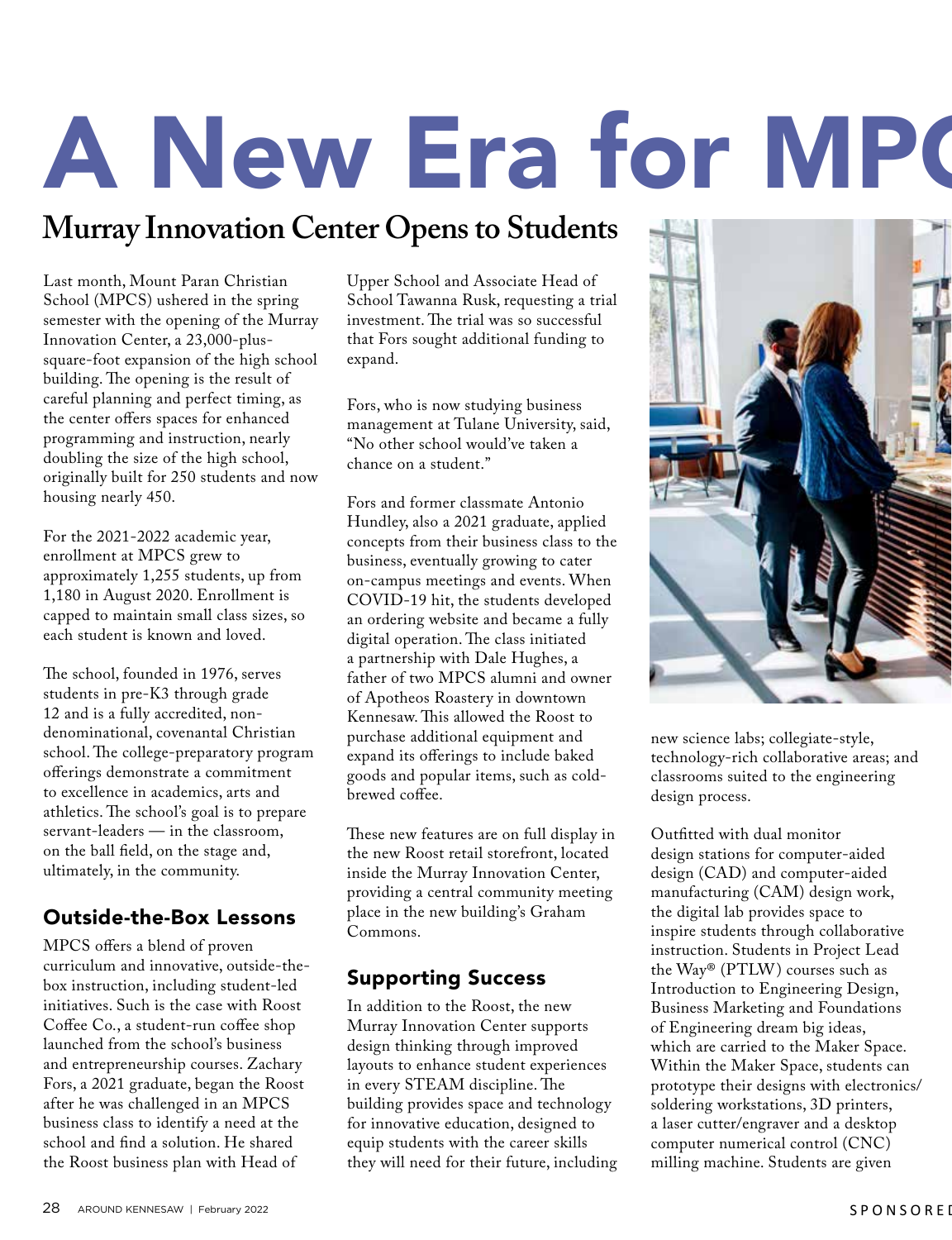# A New Era for MPC

# **Murray Innovation Center Opens to Students**

Last month, Mount Paran Christian School (MPCS) ushered in the spring semester with the opening of the Murray Innovation Center, a 23,000-plussquare-foot expansion of the high school building. The opening is the result of careful planning and perfect timing, as the center offers spaces for enhanced programming and instruction, nearly doubling the size of the high school, originally built for 250 students and now housing nearly 450.

For the 2021-2022 academic year, enrollment at MPCS grew to approximately 1,255 students, up from 1,180 in August 2020. Enrollment is capped to maintain small class sizes, so each student is known and loved.

The school, founded in 1976, serves students in pre-K3 through grade 12 and is a fully accredited, nondenominational, covenantal Christian school. The college-preparatory program offerings demonstrate a commitment to excellence in academics, arts and athletics. The school's goal is to prepare servant-leaders — in the classroom, on the ball field, on the stage and, ultimately, in the community.

### Outside-the-Box Lessons

MPCS offers a blend of proven curriculum and innovative, outside-thebox instruction, including student-led initiatives. Such is the case with Roost Coffee Co., a student-run coffee shop launched from the school's business and entrepreneurship courses. Zachary Fors, a 2021 graduate, began the Roost after he was challenged in an MPCS business class to identify a need at the school and find a solution. He shared the Roost business plan with Head of

Upper School and Associate Head of School Tawanna Rusk, requesting a trial investment. The trial was so successful that Fors sought additional funding to expand.

Fors, who is now studying business management at Tulane University, said, "No other school would've taken a chance on a student."

Fors and former classmate Antonio Hundley, also a 2021 graduate, applied concepts from their business class to the business, eventually growing to cater on-campus meetings and events. When COVID-19 hit, the students developed an ordering website and became a fully digital operation. The class initiated a partnership with Dale Hughes, a father of two MPCS alumni and owner of Apotheos Roastery in downtown Kennesaw. This allowed the Roost to purchase additional equipment and expand its offerings to include baked goods and popular items, such as coldbrewed coffee.

These new features are on full display in the new Roost retail storefront, located inside the Murray Innovation Center, providing a central community meeting place in the new building's Graham Commons.

### Supporting Success

In addition to the Roost, the new Murray Innovation Center supports design thinking through improved layouts to enhance student experiences in every STEAM discipline. The building provides space and technology for innovative education, designed to equip students with the career skills they will need for their future, including



new science labs; collegiate-style, technology-rich collaborative areas; and classrooms suited to the engineering design process.

Outfitted with dual monitor design stations for computer-aided design (CAD) and computer-aided manufacturing (CAM) design work, the digital lab provides space to inspire students through collaborative instruction. Students in Project Lead the Way® (PTLW) courses such as Introduction to Engineering Design, Business Marketing and Foundations of Engineering dream big ideas, which are carried to the Maker Space. Within the Maker Space, students can prototype their designs with electronics/ soldering workstations, 3D printers, a laser cutter/engraver and a desktop computer numerical control (CNC) milling machine. Students are given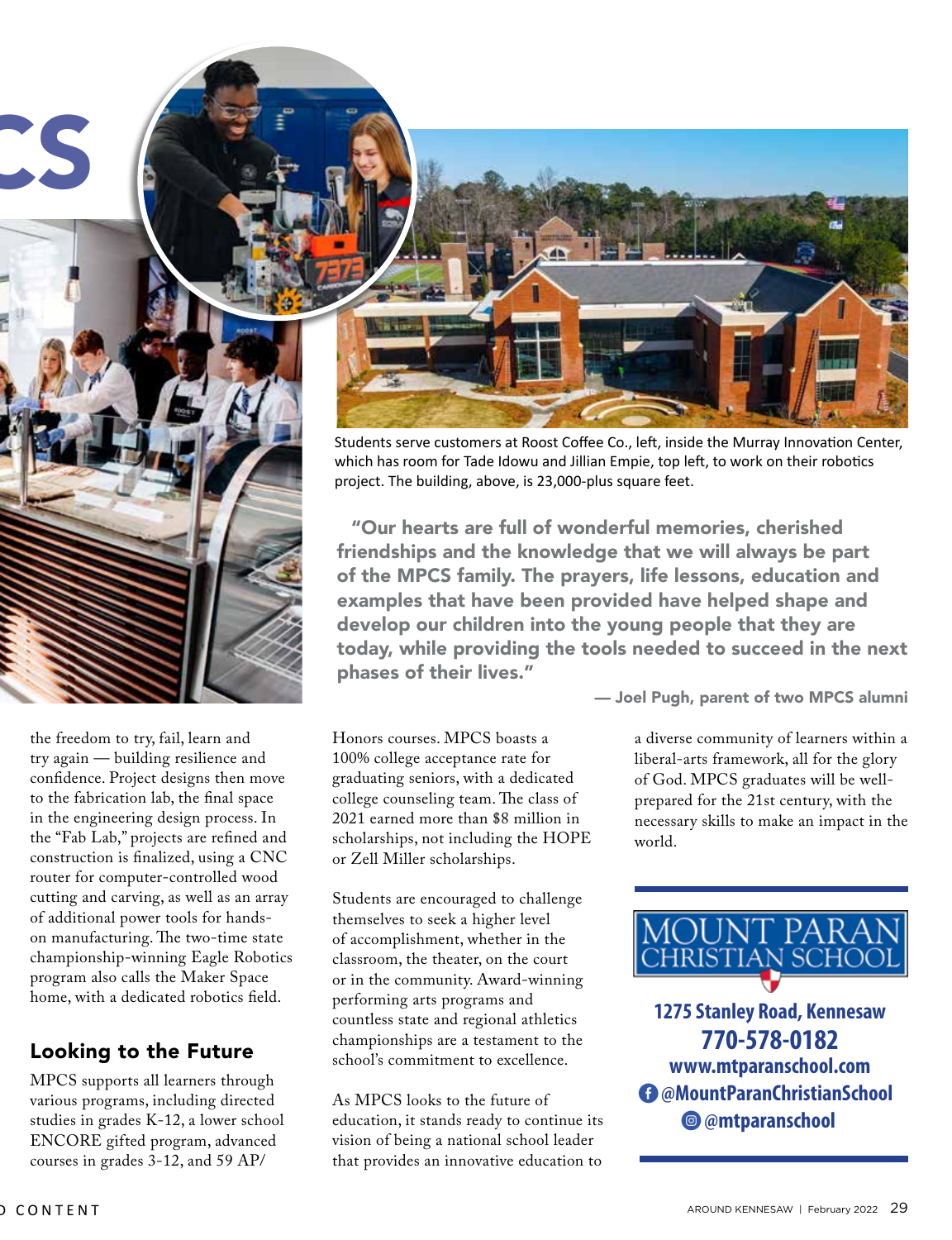

the freedom to try, fail, learn and try again — building resilience and confidence. Project designs then move to the fabrication lab, the final space in the engineering design process. In the "Fab Lab," projects are refined and construction is finalized, using a CNC router for computer-controlled wood cutting and carving, as well as an array of additional power tools for handson manufacturing. The two-time state championship-winning Eagle Robotics program also calls the Maker Space home, with a dedicated robotics field.

### Looking to the Future

MPCS supports all learners through various programs, including directed studies in grades K-12, a lower school ENCORE gifted program, advanced courses in grades 3-12, and 59 AP/

Students serve customers at Roost Coffee Co., left, inside the Murray Innovation Center, which has room for Tade Idowu and Jillian Empie, top left, to work on their robotics project. The building, above, is 23,000-plus square feet.

"Our hearts are full of wonderful memories, cherished friendships and the knowledge that we will always be part of the MPCS family. The prayers, life lessons, education and examples that have been provided have helped shape and develop our children into the young people that they are today, while providing the tools needed to succeed in the next phases of their lives."

Honors courses. MPCS boasts a 100% college acceptance rate for graduating seniors, with a dedicated college counseling team. The class of 2021 earned more than \$8 million in

Students are encouraged to challenge themselves to seek a higher level of accomplishment, whether in the classroom, the theater, on the court or in the community. Award-winning performing arts programs and countless state and regional athletics championships are a testament to the school's commitment to excellence.

scholarships, not including the HOPE

or Zell Miller scholarships.

As MPCS looks to the future of education, it stands ready to continue its vision of being a national school leader that provides an innovative education to

— Joel Pugh, parent of two MPCS alumni

a diverse community of learners within a liberal-arts framework, all for the glory of God. MPCS graduates will be wellprepared for the 21st century, with the necessary skills to make an impact in the world.



Q **@mtparanschool** E  **[@MountParanChristianSchool](http://www.mtparanschool.com) 1275 Stanley Road, Kennesaw 770-578-0182 www.mtparanschool.com**